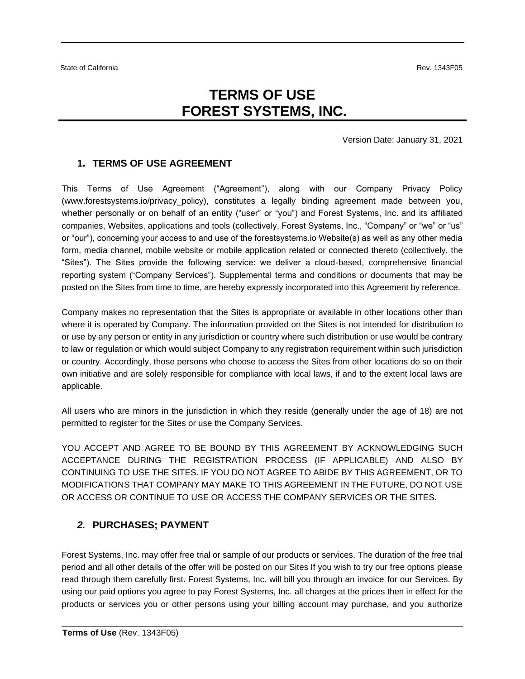# **TERMS OF USE FOREST SYSTEMS, INC.**

Version Date: January 31, 2021

#### **1. TERMS OF USE AGREEMENT**

This Terms of Use Agreement ("Agreement"), along with our Company Privacy Policy (www.forestsystems.io/privacy\_policy), constitutes a legally binding agreement made between you, whether personally or on behalf of an entity ("user" or "you") and Forest Systems, Inc. and its affiliated companies, Websites, applications and tools (collectively, Forest Systems, Inc., "Company" or "we" or "us" or "our"), concerning your access to and use of the forestsystems.io Website(s) as well as any other media form, media channel, mobile website or mobile application related or connected thereto (collectively, the "Sites"). The Sites provide the following service: we deliver a cloud-based, comprehensive financial reporting system ("Company Services"). Supplemental terms and conditions or documents that may be posted on the Sites from time to time, are hereby expressly incorporated into this Agreement by reference.

Company makes no representation that the Sites is appropriate or available in other locations other than where it is operated by Company. The information provided on the Sites is not intended for distribution to or use by any person or entity in any jurisdiction or country where such distribution or use would be contrary to law or regulation or which would subject Company to any registration requirement within such jurisdiction or country. Accordingly, those persons who choose to access the Sites from other locations do so on their own initiative and are solely responsible for compliance with local laws, if and to the extent local laws are applicable.

All users who are minors in the jurisdiction in which they reside (generally under the age of 18) are not permitted to register for the Sites or use the Company Services.

YOU ACCEPT AND AGREE TO BE BOUND BY THIS AGREEMENT BY ACKNOWLEDGING SUCH ACCEPTANCE DURING THE REGISTRATION PROCESS (IF APPLICABLE) AND ALSO BY CONTINUING TO USE THE SITES. IF YOU DO NOT AGREE TO ABIDE BY THIS AGREEMENT, OR TO MODIFICATIONS THAT COMPANY MAY MAKE TO THIS AGREEMENT IN THE FUTURE, DO NOT USE OR ACCESS OR CONTINUE TO USE OR ACCESS THE COMPANY SERVICES OR THE SITES.

#### *2.* **PURCHASES; PAYMENT**

Forest Systems, Inc. may offer free trial or sample of our products or services. The duration of the free trial period and all other details of the offer will be posted on our Sites If you wish to try our free options please read through them carefully first. Forest Systems, Inc. will bill you through an invoice for our Services. By using our paid options you agree to pay Forest Systems, Inc. all charges at the prices then in effect for the products or services you or other persons using your billing account may purchase, and you authorize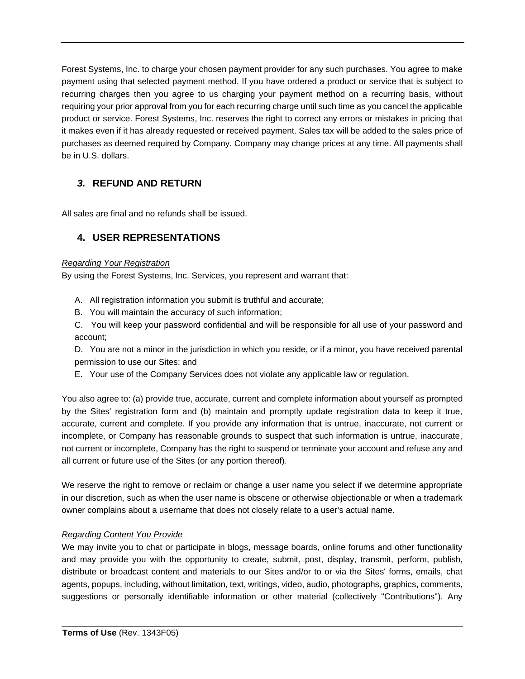Forest Systems, Inc. to charge your chosen payment provider for any such purchases. You agree to make payment using that selected payment method. If you have ordered a product or service that is subject to recurring charges then you agree to us charging your payment method on a recurring basis, without requiring your prior approval from you for each recurring charge until such time as you cancel the applicable product or service. Forest Systems, Inc. reserves the right to correct any errors or mistakes in pricing that it makes even if it has already requested or received payment. Sales tax will be added to the sales price of purchases as deemed required by Company. Company may change prices at any time. All payments shall be in U.S. dollars.

### *3.* **REFUND AND RETURN**

All sales are final and no refunds shall be issued.

### **4. USER REPRESENTATIONS**

#### *Regarding Your Registration*

By using the Forest Systems, Inc. Services, you represent and warrant that:

- A. All registration information you submit is truthful and accurate;
- B. You will maintain the accuracy of such information;
- C. You will keep your password confidential and will be responsible for all use of your password and account;

D. You are not a minor in the jurisdiction in which you reside, or if a minor, you have received parental permission to use our Sites; and

E. Your use of the Company Services does not violate any applicable law or regulation.

You also agree to: (a) provide true, accurate, current and complete information about yourself as prompted by the Sites' registration form and (b) maintain and promptly update registration data to keep it true, accurate, current and complete. If you provide any information that is untrue, inaccurate, not current or incomplete, or Company has reasonable grounds to suspect that such information is untrue, inaccurate, not current or incomplete, Company has the right to suspend or terminate your account and refuse any and all current or future use of the Sites (or any portion thereof).

We reserve the right to remove or reclaim or change a user name you select if we determine appropriate in our discretion, such as when the user name is obscene or otherwise objectionable or when a trademark owner complains about a username that does not closely relate to a user's actual name.

#### *Regarding Content You Provide*

We may invite you to chat or participate in blogs, message boards, online forums and other functionality and may provide you with the opportunity to create, submit, post, display, transmit, perform, publish, distribute or broadcast content and materials to our Sites and/or to or via the Sites' forms, emails, chat agents, popups, including, without limitation, text, writings, video, audio, photographs, graphics, comments, suggestions or personally identifiable information or other material (collectively "Contributions"). Any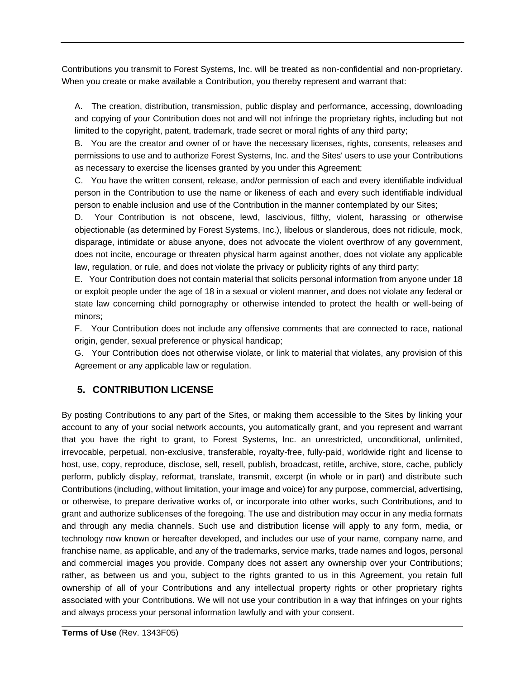Contributions you transmit to Forest Systems, Inc. will be treated as non-confidential and non-proprietary. When you create or make available a Contribution, you thereby represent and warrant that:

A. The creation, distribution, transmission, public display and performance, accessing, downloading and copying of your Contribution does not and will not infringe the proprietary rights, including but not limited to the copyright, patent, trademark, trade secret or moral rights of any third party;

B. You are the creator and owner of or have the necessary licenses, rights, consents, releases and permissions to use and to authorize Forest Systems, Inc. and the Sites' users to use your Contributions as necessary to exercise the licenses granted by you under this Agreement;

C. You have the written consent, release, and/or permission of each and every identifiable individual person in the Contribution to use the name or likeness of each and every such identifiable individual person to enable inclusion and use of the Contribution in the manner contemplated by our Sites;

D. Your Contribution is not obscene, lewd, lascivious, filthy, violent, harassing or otherwise objectionable (as determined by Forest Systems, Inc.), libelous or slanderous, does not ridicule, mock, disparage, intimidate or abuse anyone, does not advocate the violent overthrow of any government, does not incite, encourage or threaten physical harm against another, does not violate any applicable law, regulation, or rule, and does not violate the privacy or publicity rights of any third party;

E. Your Contribution does not contain material that solicits personal information from anyone under 18 or exploit people under the age of 18 in a sexual or violent manner, and does not violate any federal or state law concerning child pornography or otherwise intended to protect the health or well-being of minors;

F. Your Contribution does not include any offensive comments that are connected to race, national origin, gender, sexual preference or physical handicap;

G. Your Contribution does not otherwise violate, or link to material that violates, any provision of this Agreement or any applicable law or regulation.

### **5. CONTRIBUTION LICENSE**

By posting Contributions to any part of the Sites, or making them accessible to the Sites by linking your account to any of your social network accounts, you automatically grant, and you represent and warrant that you have the right to grant, to Forest Systems, Inc. an unrestricted, unconditional, unlimited, irrevocable, perpetual, non-exclusive, transferable, royalty-free, fully-paid, worldwide right and license to host, use, copy, reproduce, disclose, sell, resell, publish, broadcast, retitle, archive, store, cache, publicly perform, publicly display, reformat, translate, transmit, excerpt (in whole or in part) and distribute such Contributions (including, without limitation, your image and voice) for any purpose, commercial, advertising, or otherwise, to prepare derivative works of, or incorporate into other works, such Contributions, and to grant and authorize sublicenses of the foregoing. The use and distribution may occur in any media formats and through any media channels. Such use and distribution license will apply to any form, media, or technology now known or hereafter developed, and includes our use of your name, company name, and franchise name, as applicable, and any of the trademarks, service marks, trade names and logos, personal and commercial images you provide. Company does not assert any ownership over your Contributions; rather, as between us and you, subject to the rights granted to us in this Agreement, you retain full ownership of all of your Contributions and any intellectual property rights or other proprietary rights associated with your Contributions. We will not use your contribution in a way that infringes on your rights and always process your personal information lawfully and with your consent.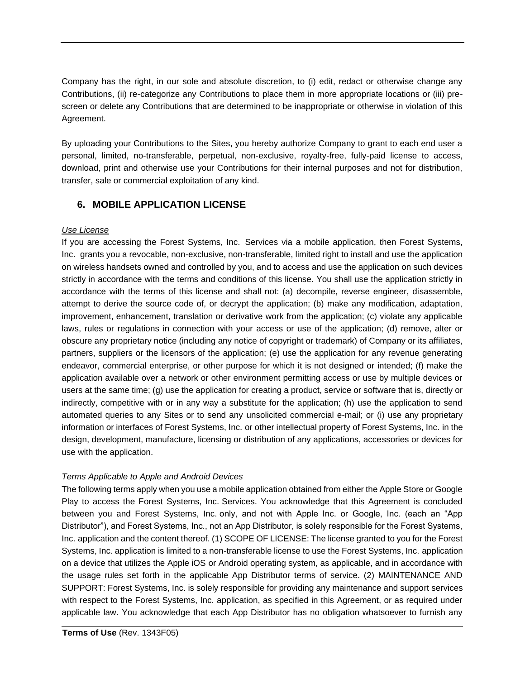Company has the right, in our sole and absolute discretion, to (i) edit, redact or otherwise change any Contributions, (ii) re-categorize any Contributions to place them in more appropriate locations or (iii) prescreen or delete any Contributions that are determined to be inappropriate or otherwise in violation of this Agreement.

By uploading your Contributions to the Sites, you hereby authorize Company to grant to each end user a personal, limited, no-transferable, perpetual, non-exclusive, royalty-free, fully-paid license to access, download, print and otherwise use your Contributions for their internal purposes and not for distribution, transfer, sale or commercial exploitation of any kind.

### **6. MOBILE APPLICATION LICENSE**

#### *Use License*

If you are accessing the Forest Systems, Inc. Services via a mobile application, then Forest Systems, Inc. grants you a revocable, non-exclusive, non-transferable, limited right to install and use the application on wireless handsets owned and controlled by you, and to access and use the application on such devices strictly in accordance with the terms and conditions of this license. You shall use the application strictly in accordance with the terms of this license and shall not: (a) decompile, reverse engineer, disassemble, attempt to derive the source code of, or decrypt the application; (b) make any modification, adaptation, improvement, enhancement, translation or derivative work from the application; (c) violate any applicable laws, rules or regulations in connection with your access or use of the application; (d) remove, alter or obscure any proprietary notice (including any notice of copyright or trademark) of Company or its affiliates, partners, suppliers or the licensors of the application; (e) use the application for any revenue generating endeavor, commercial enterprise, or other purpose for which it is not designed or intended; (f) make the application available over a network or other environment permitting access or use by multiple devices or users at the same time; (g) use the application for creating a product, service or software that is, directly or indirectly, competitive with or in any way a substitute for the application; (h) use the application to send automated queries to any Sites or to send any unsolicited commercial e-mail; or (i) use any proprietary information or interfaces of Forest Systems, Inc. or other intellectual property of Forest Systems, Inc. in the design, development, manufacture, licensing or distribution of any applications, accessories or devices for use with the application.

#### *Terms Applicable to Apple and Android Devices*

The following terms apply when you use a mobile application obtained from either the Apple Store or Google Play to access the Forest Systems, Inc. Services. You acknowledge that this Agreement is concluded between you and Forest Systems, Inc. only, and not with Apple Inc. or Google, Inc. (each an "App Distributor"), and Forest Systems, Inc., not an App Distributor, is solely responsible for the Forest Systems, Inc. application and the content thereof. (1) SCOPE OF LICENSE: The license granted to you for the Forest Systems, Inc. application is limited to a non-transferable license to use the Forest Systems, Inc. application on a device that utilizes the Apple iOS or Android operating system, as applicable, and in accordance with the usage rules set forth in the applicable App Distributor terms of service. (2) MAINTENANCE AND SUPPORT: Forest Systems, Inc. is solely responsible for providing any maintenance and support services with respect to the Forest Systems, Inc. application, as specified in this Agreement, or as required under applicable law. You acknowledge that each App Distributor has no obligation whatsoever to furnish any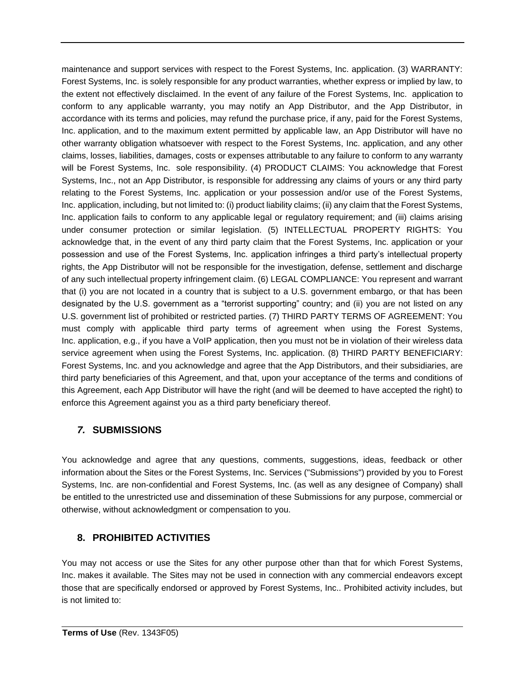maintenance and support services with respect to the Forest Systems, Inc. application. (3) WARRANTY: Forest Systems, Inc. is solely responsible for any product warranties, whether express or implied by law, to the extent not effectively disclaimed. In the event of any failure of the Forest Systems, Inc. application to conform to any applicable warranty, you may notify an App Distributor, and the App Distributor, in accordance with its terms and policies, may refund the purchase price, if any, paid for the Forest Systems, Inc. application, and to the maximum extent permitted by applicable law, an App Distributor will have no other warranty obligation whatsoever with respect to the Forest Systems, Inc. application, and any other claims, losses, liabilities, damages, costs or expenses attributable to any failure to conform to any warranty will be Forest Systems, Inc. sole responsibility. (4) PRODUCT CLAIMS: You acknowledge that Forest Systems, Inc., not an App Distributor, is responsible for addressing any claims of yours or any third party relating to the Forest Systems, Inc. application or your possession and/or use of the Forest Systems, Inc. application, including, but not limited to: (i) product liability claims; (ii) any claim that the Forest Systems, Inc. application fails to conform to any applicable legal or regulatory requirement; and (iii) claims arising under consumer protection or similar legislation. (5) INTELLECTUAL PROPERTY RIGHTS: You acknowledge that, in the event of any third party claim that the Forest Systems, Inc. application or your possession and use of the Forest Systems, Inc. application infringes a third party's intellectual property rights, the App Distributor will not be responsible for the investigation, defense, settlement and discharge of any such intellectual property infringement claim. (6) LEGAL COMPLIANCE: You represent and warrant that (i) you are not located in a country that is subject to a U.S. government embargo, or that has been designated by the U.S. government as a "terrorist supporting" country; and (ii) you are not listed on any U.S. government list of prohibited or restricted parties. (7) THIRD PARTY TERMS OF AGREEMENT: You must comply with applicable third party terms of agreement when using the Forest Systems, Inc. application, e.g., if you have a VoIP application, then you must not be in violation of their wireless data service agreement when using the Forest Systems, Inc. application. (8) THIRD PARTY BENEFICIARY: Forest Systems, Inc. and you acknowledge and agree that the App Distributors, and their subsidiaries, are third party beneficiaries of this Agreement, and that, upon your acceptance of the terms and conditions of this Agreement, each App Distributor will have the right (and will be deemed to have accepted the right) to enforce this Agreement against you as a third party beneficiary thereof.

### *7.* **SUBMISSIONS**

You acknowledge and agree that any questions, comments, suggestions, ideas, feedback or other information about the Sites or the Forest Systems, Inc. Services ("Submissions") provided by you to Forest Systems, Inc. are non-confidential and Forest Systems, Inc. (as well as any designee of Company) shall be entitled to the unrestricted use and dissemination of these Submissions for any purpose, commercial or otherwise, without acknowledgment or compensation to you.

### **8. PROHIBITED ACTIVITIES**

You may not access or use the Sites for any other purpose other than that for which Forest Systems, Inc. makes it available. The Sites may not be used in connection with any commercial endeavors except those that are specifically endorsed or approved by Forest Systems, Inc.. Prohibited activity includes, but is not limited to: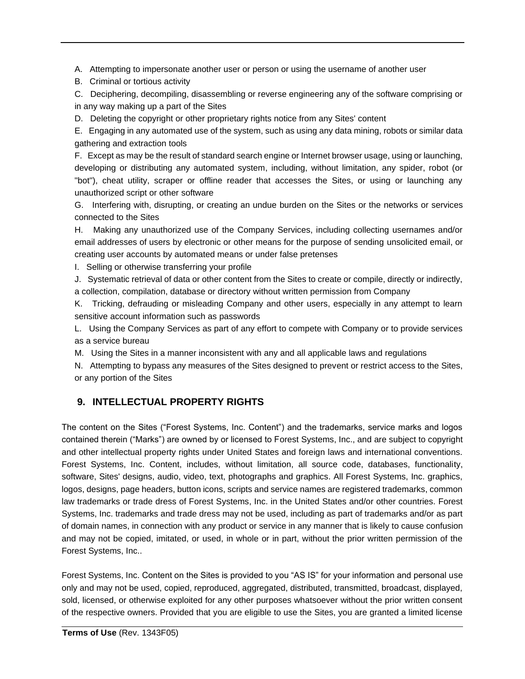A. Attempting to impersonate another user or person or using the username of another user

B. Criminal or tortious activity

C. Deciphering, decompiling, disassembling or reverse engineering any of the software comprising or in any way making up a part of the Sites

D. Deleting the copyright or other proprietary rights notice from any Sites' content

E. Engaging in any automated use of the system, such as using any data mining, robots or similar data gathering and extraction tools

F. Except as may be the result of standard search engine or Internet browser usage, using or launching, developing or distributing any automated system, including, without limitation, any spider, robot (or "bot"), cheat utility, scraper or offline reader that accesses the Sites, or using or launching any unauthorized script or other software

G. Interfering with, disrupting, or creating an undue burden on the Sites or the networks or services connected to the Sites

H. Making any unauthorized use of the Company Services, including collecting usernames and/or email addresses of users by electronic or other means for the purpose of sending unsolicited email, or creating user accounts by automated means or under false pretenses

I. Selling or otherwise transferring your profile

J. Systematic retrieval of data or other content from the Sites to create or compile, directly or indirectly, a collection, compilation, database or directory without written permission from Company

K. Tricking, defrauding or misleading Company and other users, especially in any attempt to learn sensitive account information such as passwords

L. Using the Company Services as part of any effort to compete with Company or to provide services as a service bureau

M. Using the Sites in a manner inconsistent with any and all applicable laws and regulations

N. Attempting to bypass any measures of the Sites designed to prevent or restrict access to the Sites, or any portion of the Sites

# **9. INTELLECTUAL PROPERTY RIGHTS**

The content on the Sites ("Forest Systems, Inc. Content") and the trademarks, service marks and logos contained therein ("Marks") are owned by or licensed to Forest Systems, Inc., and are subject to copyright and other intellectual property rights under United States and foreign laws and international conventions. Forest Systems, Inc. Content, includes, without limitation, all source code, databases, functionality, software, Sites' designs, audio, video, text, photographs and graphics. All Forest Systems, Inc. graphics, logos, designs, page headers, button icons, scripts and service names are registered trademarks, common law trademarks or trade dress of Forest Systems, Inc. in the United States and/or other countries. Forest Systems, Inc. trademarks and trade dress may not be used, including as part of trademarks and/or as part of domain names, in connection with any product or service in any manner that is likely to cause confusion and may not be copied, imitated, or used, in whole or in part, without the prior written permission of the Forest Systems, Inc..

Forest Systems, Inc. Content on the Sites is provided to you "AS IS" for your information and personal use only and may not be used, copied, reproduced, aggregated, distributed, transmitted, broadcast, displayed, sold, licensed, or otherwise exploited for any other purposes whatsoever without the prior written consent of the respective owners. Provided that you are eligible to use the Sites, you are granted a limited license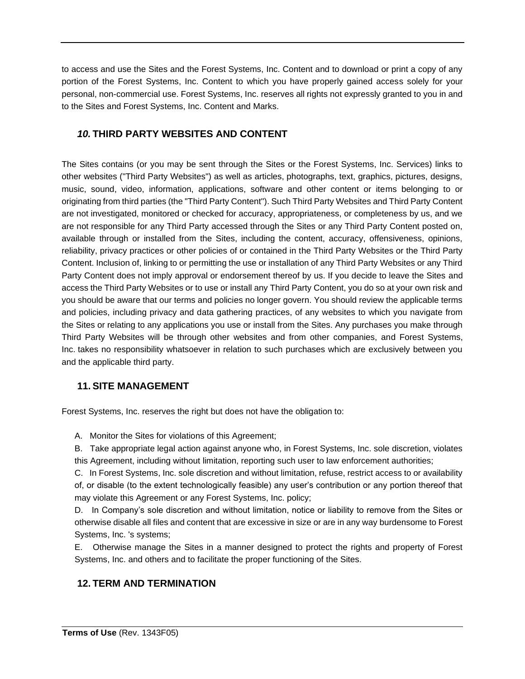to access and use the Sites and the Forest Systems, Inc. Content and to download or print a copy of any portion of the Forest Systems, Inc. Content to which you have properly gained access solely for your personal, non-commercial use. Forest Systems, Inc. reserves all rights not expressly granted to you in and to the Sites and Forest Systems, Inc. Content and Marks.

### *10.* **THIRD PARTY WEBSITES AND CONTENT**

The Sites contains (or you may be sent through the Sites or the Forest Systems, Inc. Services) links to other websites ("Third Party Websites") as well as articles, photographs, text, graphics, pictures, designs, music, sound, video, information, applications, software and other content or items belonging to or originating from third parties (the "Third Party Content"). Such Third Party Websites and Third Party Content are not investigated, monitored or checked for accuracy, appropriateness, or completeness by us, and we are not responsible for any Third Party accessed through the Sites or any Third Party Content posted on, available through or installed from the Sites, including the content, accuracy, offensiveness, opinions, reliability, privacy practices or other policies of or contained in the Third Party Websites or the Third Party Content. Inclusion of, linking to or permitting the use or installation of any Third Party Websites or any Third Party Content does not imply approval or endorsement thereof by us. If you decide to leave the Sites and access the Third Party Websites or to use or install any Third Party Content, you do so at your own risk and you should be aware that our terms and policies no longer govern. You should review the applicable terms and policies, including privacy and data gathering practices, of any websites to which you navigate from the Sites or relating to any applications you use or install from the Sites. Any purchases you make through Third Party Websites will be through other websites and from other companies, and Forest Systems, Inc. takes no responsibility whatsoever in relation to such purchases which are exclusively between you and the applicable third party.

#### **11. SITE MANAGEMENT**

Forest Systems, Inc. reserves the right but does not have the obligation to:

A. Monitor the Sites for violations of this Agreement;

B. Take appropriate legal action against anyone who, in Forest Systems, Inc. sole discretion, violates this Agreement, including without limitation, reporting such user to law enforcement authorities;

C. In Forest Systems, Inc. sole discretion and without limitation, refuse, restrict access to or availability of, or disable (to the extent technologically feasible) any user's contribution or any portion thereof that may violate this Agreement or any Forest Systems, Inc. policy;

D. In Company's sole discretion and without limitation, notice or liability to remove from the Sites or otherwise disable all files and content that are excessive in size or are in any way burdensome to Forest Systems, Inc. 's systems;

E. Otherwise manage the Sites in a manner designed to protect the rights and property of Forest Systems, Inc. and others and to facilitate the proper functioning of the Sites.

### **12. TERM AND TERMINATION**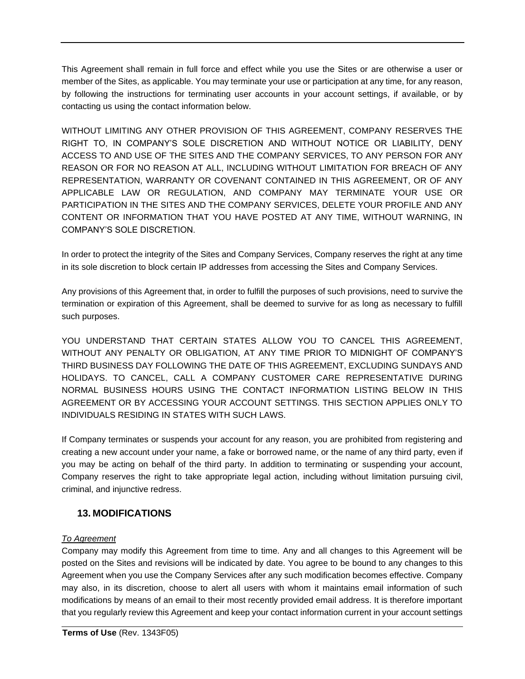This Agreement shall remain in full force and effect while you use the Sites or are otherwise a user or member of the Sites, as applicable. You may terminate your use or participation at any time, for any reason, by following the instructions for terminating user accounts in your account settings, if available, or by contacting us using the contact information below.

WITHOUT LIMITING ANY OTHER PROVISION OF THIS AGREEMENT, COMPANY RESERVES THE RIGHT TO, IN COMPANY'S SOLE DISCRETION AND WITHOUT NOTICE OR LIABILITY, DENY ACCESS TO AND USE OF THE SITES AND THE COMPANY SERVICES, TO ANY PERSON FOR ANY REASON OR FOR NO REASON AT ALL, INCLUDING WITHOUT LIMITATION FOR BREACH OF ANY REPRESENTATION, WARRANTY OR COVENANT CONTAINED IN THIS AGREEMENT, OR OF ANY APPLICABLE LAW OR REGULATION, AND COMPANY MAY TERMINATE YOUR USE OR PARTICIPATION IN THE SITES AND THE COMPANY SERVICES, DELETE YOUR PROFILE AND ANY CONTENT OR INFORMATION THAT YOU HAVE POSTED AT ANY TIME, WITHOUT WARNING, IN COMPANY'S SOLE DISCRETION.

In order to protect the integrity of the Sites and Company Services, Company reserves the right at any time in its sole discretion to block certain IP addresses from accessing the Sites and Company Services.

Any provisions of this Agreement that, in order to fulfill the purposes of such provisions, need to survive the termination or expiration of this Agreement, shall be deemed to survive for as long as necessary to fulfill such purposes.

YOU UNDERSTAND THAT CERTAIN STATES ALLOW YOU TO CANCEL THIS AGREEMENT, WITHOUT ANY PENALTY OR OBLIGATION, AT ANY TIME PRIOR TO MIDNIGHT OF COMPANY'S THIRD BUSINESS DAY FOLLOWING THE DATE OF THIS AGREEMENT, EXCLUDING SUNDAYS AND HOLIDAYS. TO CANCEL, CALL A COMPANY CUSTOMER CARE REPRESENTATIVE DURING NORMAL BUSINESS HOURS USING THE CONTACT INFORMATION LISTING BELOW IN THIS AGREEMENT OR BY ACCESSING YOUR ACCOUNT SETTINGS. THIS SECTION APPLIES ONLY TO INDIVIDUALS RESIDING IN STATES WITH SUCH LAWS.

If Company terminates or suspends your account for any reason, you are prohibited from registering and creating a new account under your name, a fake or borrowed name, or the name of any third party, even if you may be acting on behalf of the third party. In addition to terminating or suspending your account, Company reserves the right to take appropriate legal action, including without limitation pursuing civil, criminal, and injunctive redress.

#### **13. MODIFICATIONS**

#### *To Agreement*

Company may modify this Agreement from time to time. Any and all changes to this Agreement will be posted on the Sites and revisions will be indicated by date. You agree to be bound to any changes to this Agreement when you use the Company Services after any such modification becomes effective. Company may also, in its discretion, choose to alert all users with whom it maintains email information of such modifications by means of an email to their most recently provided email address. It is therefore important that you regularly review this Agreement and keep your contact information current in your account settings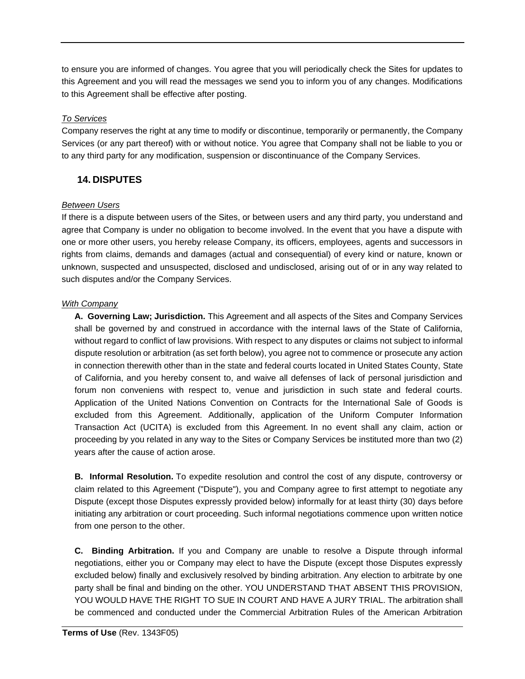to ensure you are informed of changes. You agree that you will periodically check the Sites for updates to this Agreement and you will read the messages we send you to inform you of any changes. Modifications to this Agreement shall be effective after posting.

#### *To Services*

Company reserves the right at any time to modify or discontinue, temporarily or permanently, the Company Services (or any part thereof) with or without notice. You agree that Company shall not be liable to you or to any third party for any modification, suspension or discontinuance of the Company Services.

### **14. DISPUTES**

#### *Between Users*

If there is a dispute between users of the Sites, or between users and any third party, you understand and agree that Company is under no obligation to become involved. In the event that you have a dispute with one or more other users, you hereby release Company, its officers, employees, agents and successors in rights from claims, demands and damages (actual and consequential) of every kind or nature, known or unknown, suspected and unsuspected, disclosed and undisclosed, arising out of or in any way related to such disputes and/or the Company Services.

#### *With Company*

**A. Governing Law; Jurisdiction.** This Agreement and all aspects of the Sites and Company Services shall be governed by and construed in accordance with the internal laws of the State of California, without regard to conflict of law provisions. With respect to any disputes or claims not subject to informal dispute resolution or arbitration (as set forth below), you agree not to commence or prosecute any action in connection therewith other than in the state and federal courts located in United States County, State of California, and you hereby consent to, and waive all defenses of lack of personal jurisdiction and forum non conveniens with respect to, venue and jurisdiction in such state and federal courts. Application of the United Nations Convention on Contracts for the International Sale of Goods is excluded from this Agreement. Additionally, application of the Uniform Computer Information Transaction Act (UCITA) is excluded from this Agreement. In no event shall any claim, action or proceeding by you related in any way to the Sites or Company Services be instituted more than two (2) years after the cause of action arose.

**B. Informal Resolution.** To expedite resolution and control the cost of any dispute, controversy or claim related to this Agreement ("Dispute"), you and Company agree to first attempt to negotiate any Dispute (except those Disputes expressly provided below) informally for at least thirty (30) days before initiating any arbitration or court proceeding. Such informal negotiations commence upon written notice from one person to the other.

**C. Binding Arbitration.** If you and Company are unable to resolve a Dispute through informal negotiations, either you or Company may elect to have the Dispute (except those Disputes expressly excluded below) finally and exclusively resolved by binding arbitration. Any election to arbitrate by one party shall be final and binding on the other. YOU UNDERSTAND THAT ABSENT THIS PROVISION, YOU WOULD HAVE THE RIGHT TO SUE IN COURT AND HAVE A JURY TRIAL. The arbitration shall be commenced and conducted under the Commercial Arbitration Rules of the American Arbitration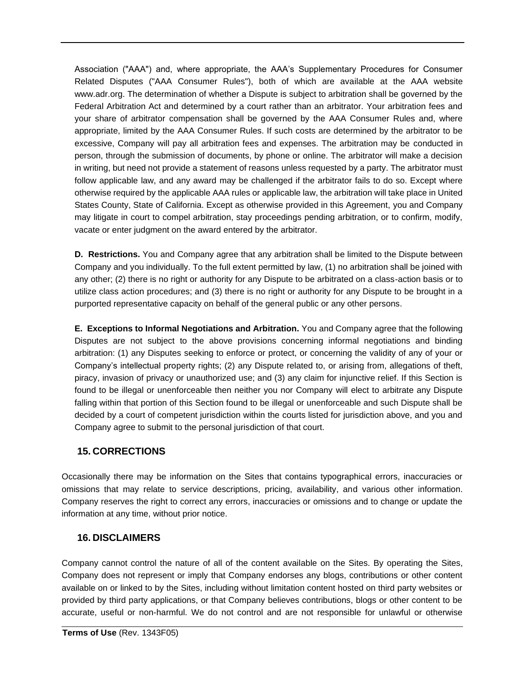Association ("AAA") and, where appropriate, the AAA's Supplementary Procedures for Consumer Related Disputes ("AAA Consumer Rules"), both of which are available at the AAA website www.adr.org. The determination of whether a Dispute is subject to arbitration shall be governed by the Federal Arbitration Act and determined by a court rather than an arbitrator. Your arbitration fees and your share of arbitrator compensation shall be governed by the AAA Consumer Rules and, where appropriate, limited by the AAA Consumer Rules. If such costs are determined by the arbitrator to be excessive, Company will pay all arbitration fees and expenses. The arbitration may be conducted in person, through the submission of documents, by phone or online. The arbitrator will make a decision in writing, but need not provide a statement of reasons unless requested by a party. The arbitrator must follow applicable law, and any award may be challenged if the arbitrator fails to do so. Except where otherwise required by the applicable AAA rules or applicable law, the arbitration will take place in United States County, State of California. Except as otherwise provided in this Agreement, you and Company may litigate in court to compel arbitration, stay proceedings pending arbitration, or to confirm, modify, vacate or enter judgment on the award entered by the arbitrator.

**D. Restrictions.** You and Company agree that any arbitration shall be limited to the Dispute between Company and you individually. To the full extent permitted by law, (1) no arbitration shall be joined with any other; (2) there is no right or authority for any Dispute to be arbitrated on a class-action basis or to utilize class action procedures; and (3) there is no right or authority for any Dispute to be brought in a purported representative capacity on behalf of the general public or any other persons.

**E. Exceptions to Informal Negotiations and Arbitration.** You and Company agree that the following Disputes are not subject to the above provisions concerning informal negotiations and binding arbitration: (1) any Disputes seeking to enforce or protect, or concerning the validity of any of your or Company's intellectual property rights; (2) any Dispute related to, or arising from, allegations of theft, piracy, invasion of privacy or unauthorized use; and (3) any claim for injunctive relief. If this Section is found to be illegal or unenforceable then neither you nor Company will elect to arbitrate any Dispute falling within that portion of this Section found to be illegal or unenforceable and such Dispute shall be decided by a court of competent jurisdiction within the courts listed for jurisdiction above, and you and Company agree to submit to the personal jurisdiction of that court.

#### **15. CORRECTIONS**

Occasionally there may be information on the Sites that contains typographical errors, inaccuracies or omissions that may relate to service descriptions, pricing, availability, and various other information. Company reserves the right to correct any errors, inaccuracies or omissions and to change or update the information at any time, without prior notice.

#### **16. DISCLAIMERS**

Company cannot control the nature of all of the content available on the Sites. By operating the Sites, Company does not represent or imply that Company endorses any blogs, contributions or other content available on or linked to by the Sites, including without limitation content hosted on third party websites or provided by third party applications, or that Company believes contributions, blogs or other content to be accurate, useful or non-harmful. We do not control and are not responsible for unlawful or otherwise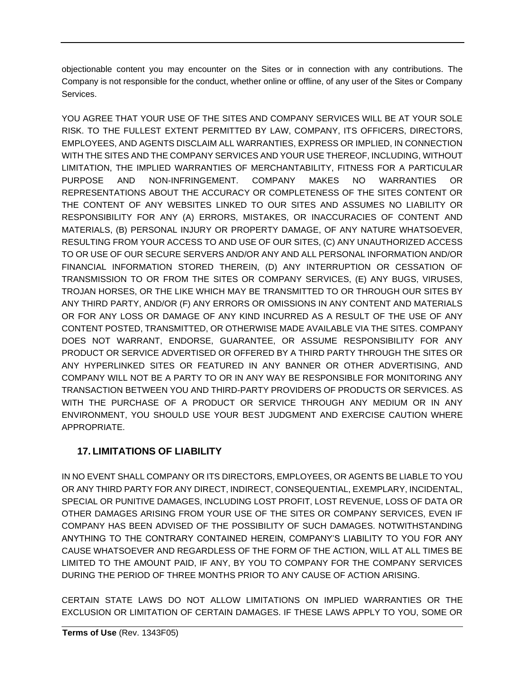objectionable content you may encounter on the Sites or in connection with any contributions. The Company is not responsible for the conduct, whether online or offline, of any user of the Sites or Company Services.

YOU AGREE THAT YOUR USE OF THE SITES AND COMPANY SERVICES WILL BE AT YOUR SOLE RISK. TO THE FULLEST EXTENT PERMITTED BY LAW, COMPANY, ITS OFFICERS, DIRECTORS, EMPLOYEES, AND AGENTS DISCLAIM ALL WARRANTIES, EXPRESS OR IMPLIED, IN CONNECTION WITH THE SITES AND THE COMPANY SERVICES AND YOUR USE THEREOF, INCLUDING, WITHOUT LIMITATION, THE IMPLIED WARRANTIES OF MERCHANTABILITY, FITNESS FOR A PARTICULAR PURPOSE AND NON-INFRINGEMENT. COMPANY MAKES NO WARRANTIES OR REPRESENTATIONS ABOUT THE ACCURACY OR COMPLETENESS OF THE SITES CONTENT OR THE CONTENT OF ANY WEBSITES LINKED TO OUR SITES AND ASSUMES NO LIABILITY OR RESPONSIBILITY FOR ANY (A) ERRORS, MISTAKES, OR INACCURACIES OF CONTENT AND MATERIALS, (B) PERSONAL INJURY OR PROPERTY DAMAGE, OF ANY NATURE WHATSOEVER, RESULTING FROM YOUR ACCESS TO AND USE OF OUR SITES, (C) ANY UNAUTHORIZED ACCESS TO OR USE OF OUR SECURE SERVERS AND/OR ANY AND ALL PERSONAL INFORMATION AND/OR FINANCIAL INFORMATION STORED THEREIN, (D) ANY INTERRUPTION OR CESSATION OF TRANSMISSION TO OR FROM THE SITES OR COMPANY SERVICES, (E) ANY BUGS, VIRUSES, TROJAN HORSES, OR THE LIKE WHICH MAY BE TRANSMITTED TO OR THROUGH OUR SITES BY ANY THIRD PARTY, AND/OR (F) ANY ERRORS OR OMISSIONS IN ANY CONTENT AND MATERIALS OR FOR ANY LOSS OR DAMAGE OF ANY KIND INCURRED AS A RESULT OF THE USE OF ANY CONTENT POSTED, TRANSMITTED, OR OTHERWISE MADE AVAILABLE VIA THE SITES. COMPANY DOES NOT WARRANT, ENDORSE, GUARANTEE, OR ASSUME RESPONSIBILITY FOR ANY PRODUCT OR SERVICE ADVERTISED OR OFFERED BY A THIRD PARTY THROUGH THE SITES OR ANY HYPERLINKED SITES OR FEATURED IN ANY BANNER OR OTHER ADVERTISING, AND COMPANY WILL NOT BE A PARTY TO OR IN ANY WAY BE RESPONSIBLE FOR MONITORING ANY TRANSACTION BETWEEN YOU AND THIRD-PARTY PROVIDERS OF PRODUCTS OR SERVICES. AS WITH THE PURCHASE OF A PRODUCT OR SERVICE THROUGH ANY MEDIUM OR IN ANY ENVIRONMENT, YOU SHOULD USE YOUR BEST JUDGMENT AND EXERCISE CAUTION WHERE APPROPRIATE.

# **17. LIMITATIONS OF LIABILITY**

IN NO EVENT SHALL COMPANY OR ITS DIRECTORS, EMPLOYEES, OR AGENTS BE LIABLE TO YOU OR ANY THIRD PARTY FOR ANY DIRECT, INDIRECT, CONSEQUENTIAL, EXEMPLARY, INCIDENTAL, SPECIAL OR PUNITIVE DAMAGES, INCLUDING LOST PROFIT, LOST REVENUE, LOSS OF DATA OR OTHER DAMAGES ARISING FROM YOUR USE OF THE SITES OR COMPANY SERVICES, EVEN IF COMPANY HAS BEEN ADVISED OF THE POSSIBILITY OF SUCH DAMAGES. NOTWITHSTANDING ANYTHING TO THE CONTRARY CONTAINED HEREIN, COMPANY'S LIABILITY TO YOU FOR ANY CAUSE WHATSOEVER AND REGARDLESS OF THE FORM OF THE ACTION, WILL AT ALL TIMES BE LIMITED TO THE AMOUNT PAID, IF ANY, BY YOU TO COMPANY FOR THE COMPANY SERVICES DURING THE PERIOD OF THREE MONTHS PRIOR TO ANY CAUSE OF ACTION ARISING.

CERTAIN STATE LAWS DO NOT ALLOW LIMITATIONS ON IMPLIED WARRANTIES OR THE EXCLUSION OR LIMITATION OF CERTAIN DAMAGES. IF THESE LAWS APPLY TO YOU, SOME OR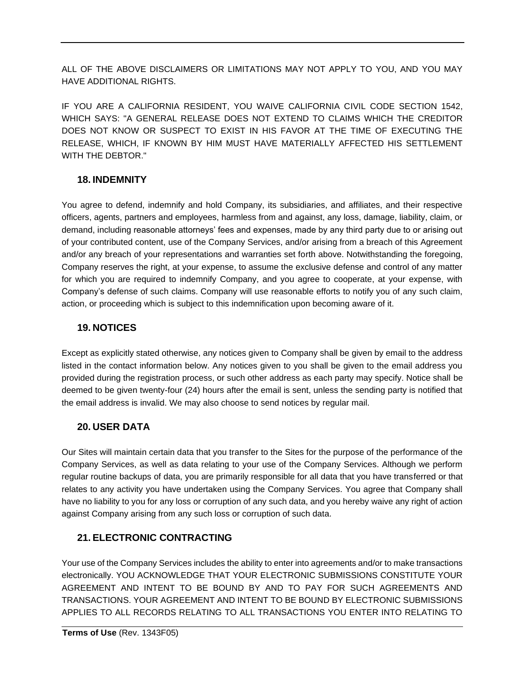ALL OF THE ABOVE DISCLAIMERS OR LIMITATIONS MAY NOT APPLY TO YOU, AND YOU MAY HAVE ADDITIONAL RIGHTS.

IF YOU ARE A CALIFORNIA RESIDENT, YOU WAIVE CALIFORNIA CIVIL CODE SECTION 1542, WHICH SAYS: "A GENERAL RELEASE DOES NOT EXTEND TO CLAIMS WHICH THE CREDITOR DOES NOT KNOW OR SUSPECT TO EXIST IN HIS FAVOR AT THE TIME OF EXECUTING THE RELEASE, WHICH, IF KNOWN BY HIM MUST HAVE MATERIALLY AFFECTED HIS SETTLEMENT WITH THE DEBTOR."

### **18. INDEMNITY**

You agree to defend, indemnify and hold Company, its subsidiaries, and affiliates, and their respective officers, agents, partners and employees, harmless from and against, any loss, damage, liability, claim, or demand, including reasonable attorneys' fees and expenses, made by any third party due to or arising out of your contributed content, use of the Company Services, and/or arising from a breach of this Agreement and/or any breach of your representations and warranties set forth above. Notwithstanding the foregoing, Company reserves the right, at your expense, to assume the exclusive defense and control of any matter for which you are required to indemnify Company, and you agree to cooperate, at your expense, with Company's defense of such claims. Company will use reasonable efforts to notify you of any such claim, action, or proceeding which is subject to this indemnification upon becoming aware of it.

### **19. NOTICES**

Except as explicitly stated otherwise, any notices given to Company shall be given by email to the address listed in the contact information below. Any notices given to you shall be given to the email address you provided during the registration process, or such other address as each party may specify. Notice shall be deemed to be given twenty-four (24) hours after the email is sent, unless the sending party is notified that the email address is invalid. We may also choose to send notices by regular mail.

### **20. USER DATA**

Our Sites will maintain certain data that you transfer to the Sites for the purpose of the performance of the Company Services, as well as data relating to your use of the Company Services. Although we perform regular routine backups of data, you are primarily responsible for all data that you have transferred or that relates to any activity you have undertaken using the Company Services. You agree that Company shall have no liability to you for any loss or corruption of any such data, and you hereby waive any right of action against Company arising from any such loss or corruption of such data.

### **21. ELECTRONIC CONTRACTING**

Your use of the Company Services includes the ability to enter into agreements and/or to make transactions electronically. YOU ACKNOWLEDGE THAT YOUR ELECTRONIC SUBMISSIONS CONSTITUTE YOUR AGREEMENT AND INTENT TO BE BOUND BY AND TO PAY FOR SUCH AGREEMENTS AND TRANSACTIONS. YOUR AGREEMENT AND INTENT TO BE BOUND BY ELECTRONIC SUBMISSIONS APPLIES TO ALL RECORDS RELATING TO ALL TRANSACTIONS YOU ENTER INTO RELATING TO